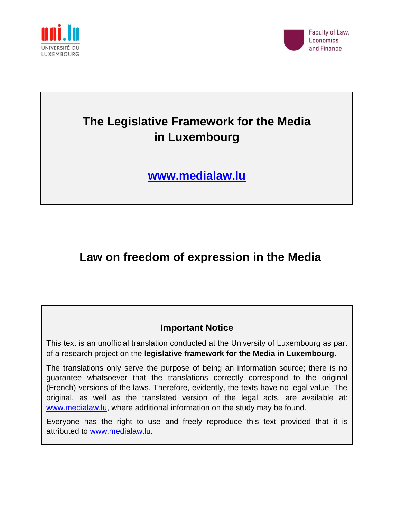



# **The Legislative Framework for the Media in Luxembourg**

**[www.medialaw.lu](http://www.medialaw.lu/)**

# **Law on freedom of expression in the Media**

# **Important Notice**

This text is an unofficial translation conducted at the University of Luxembourg as part of a research project on the **legislative framework for the Media in Luxembourg**.

The translations only serve the purpose of being an information source; there is no guarantee whatsoever that the translations correctly correspond to the original (French) versions of the laws. Therefore, evidently, the texts have no legal value. The original, as well as the translated version of the legal acts, are available at: [www.medialaw.lu,](http://www.medialaw.lu/) where additional information on the study may be found.

Everyone has the right to use and freely reproduce this text provided that it is attributed to [www.medialaw.lu.](http://www.medialaw.lu/)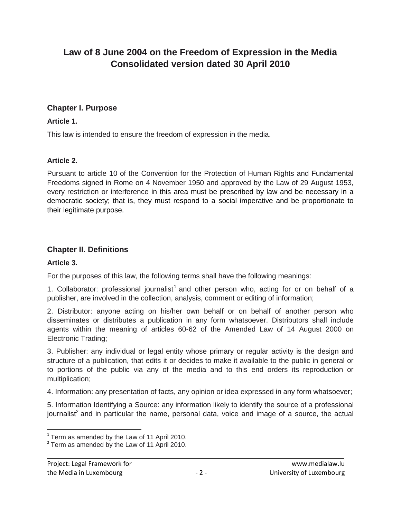# **Law of 8 June 2004 on the Freedom of Expression in the Media Consolidated version dated 30 April 2010**

#### **Chapter I. Purpose**

#### **Article 1.**

This law is intended to ensure the freedom of expression in the media.

#### **Article 2.**

Pursuant to article 10 of the Convention for the Protection of Human Rights and Fundamental Freedoms signed in Rome on 4 November 1950 and approved by the Law of 29 August 1953, every restriction or interference in this area must be prescribed by law and be necessary in a democratic society; that is, they must respond to a social imperative and be proportionate to their legitimate purpose.

#### **Chapter II. Definitions**

#### **Article 3.**

For the purposes of this law, the following terms shall have the following meanings:

1. Collaborator: professional journalist<sup>1</sup> and other person who, acting for or on behalf of a publisher, are involved in the collection, analysis, comment or editing of information;

2. Distributor: anyone acting on his/her own behalf or on behalf of another person who disseminates or distributes a publication in any form whatsoever. Distributors shall include agents within the meaning of articles 60-62 of the Amended Law of 14 August 2000 on Electronic Trading;

3. Publisher: any individual or legal entity whose primary or regular activity is the design and structure of a publication, that edits it or decides to make it available to the public in general or to portions of the public via any of the media and to this end orders its reproduction or multiplication;

4. Information: any presentation of facts, any opinion or idea expressed in any form whatsoever;

5. Information Identifying a Source: any information likely to identify the source of a professional journalist<sup>2</sup> and in particular the name, personal data, voice and image of a source, the actual

 1 Term as amended by the Law of 11 April 2010.

 $2$  Term as amended by the Law of 11 April 2010.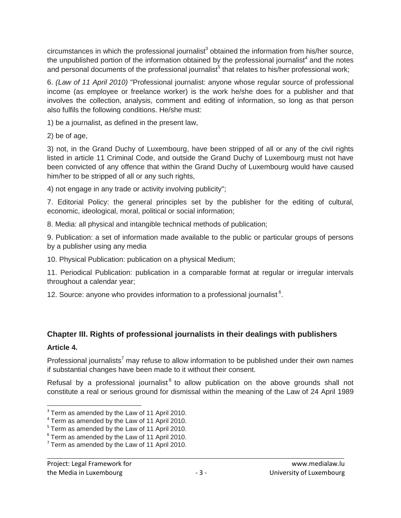circumstances in which the professional journalist<sup>3</sup> obtained the information from his/her source, the unpublished portion of the information obtained by the professional journalist<sup>4</sup> and the notes and personal documents of the professional journalist<sup>5</sup> that relates to his/her professional work;

6. *(Law of 11 April 2010)* "Professional journalist: anyone whose regular source of professional income (as employee or freelance worker) is the work he/she does for a publisher and that involves the collection, analysis, comment and editing of information, so long as that person also fulfils the following conditions. He/she must:

1) be a journalist, as defined in the present law,

2) be of age,

3) not, in the Grand Duchy of Luxembourg, have been stripped of all or any of the civil rights listed in article 11 Criminal Code, and outside the Grand Duchy of Luxembourg must not have been convicted of any offence that within the Grand Duchy of Luxembourg would have caused him/her to be stripped of all or any such rights,

4) not engage in any trade or activity involving publicity";

7. Editorial Policy: the general principles set by the publisher for the editing of cultural, economic, ideological, moral, political or social information;

8. Media: all physical and intangible technical methods of publication;

9. Publication: a set of information made available to the public or particular groups of persons by a publisher using any media

10. Physical Publication: publication on a physical Medium;

11. Periodical Publication: publication in a comparable format at regular or irregular intervals throughout a calendar year;

12. Source: anyone who provides information to a professional journalist  $6$ .

## **Chapter III. Rights of professional journalists in their dealings with publishers Article 4.**

Professional journalists<sup>7</sup> may refuse to allow information to be published under their own names if substantial changes have been made to it without their consent.

Refusal by a professional journalist $<sup>8</sup>$  to allow publication on the above grounds shall not</sup> constitute a real or serious ground for dismissal within the meaning of the Law of 24 April 1989

 $\overline{a}$ 

 $3$  Term as amended by the Law of 11 April 2010.

 $4$  Term as amended by the Law of 11 April 2010.

<sup>&</sup>lt;sup>5</sup> Term as amended by the Law of 11 April 2010.

 $6$  Term as amended by the Law of 11 April 2010.

 $7$  Term as amended by the Law of 11 April 2010.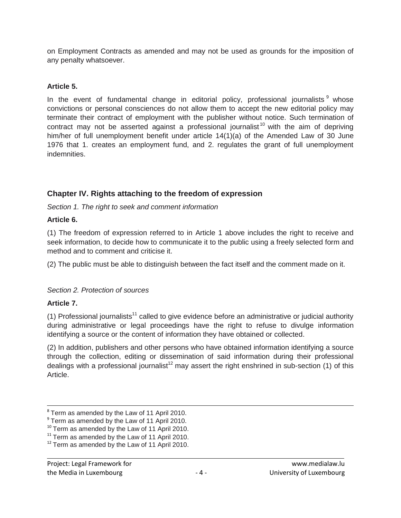on Employment Contracts as amended and may not be used as grounds for the imposition of any penalty whatsoever.

#### **Article 5.**

In the event of fundamental change in editorial policy, professional journalists  $9$  whose convictions or personal consciences do not allow them to accept the new editorial policy may terminate their contract of employment with the publisher without notice. Such termination of contract may not be asserted against a professional journalist<sup>10</sup> with the aim of depriving him/her of full unemployment benefit under article 14(1)(a) of the Amended Law of 30 June 1976 that 1. creates an employment fund, and 2. regulates the grant of full unemployment indemnities.

## **Chapter IV. Rights attaching to the freedom of expression**

*Section 1. The right to seek and comment information*

#### **Article 6.**

(1) The freedom of expression referred to in Article 1 above includes the right to receive and seek information, to decide how to communicate it to the public using a freely selected form and method and to comment and criticise it.

(2) The public must be able to distinguish between the fact itself and the comment made on it.

#### *Section 2. Protection of sources*

#### **Article 7.**

 $\overline{a}$ 

(1) Professional journalists<sup>11</sup> called to give evidence before an administrative or judicial authority during administrative or legal proceedings have the right to refuse to divulge information identifying a source or the content of information they have obtained or collected.

(2) In addition, publishers and other persons who have obtained information identifying a source through the collection, editing or dissemination of said information during their professional dealings with a professional journalist<sup>12</sup> may assert the right enshrined in sub-section (1) of this Article.

 $8$  Term as amended by the Law of 11 April 2010.

 $9$  Term as amended by the Law of 11 April 2010.

<sup>&</sup>lt;sup>10</sup> Term as amended by the Law of 11 April 2010.

 $11$  Term as amended by the Law of 11 April 2010.

<sup>&</sup>lt;sup>12</sup> Term as amended by the Law of 11 April 2010.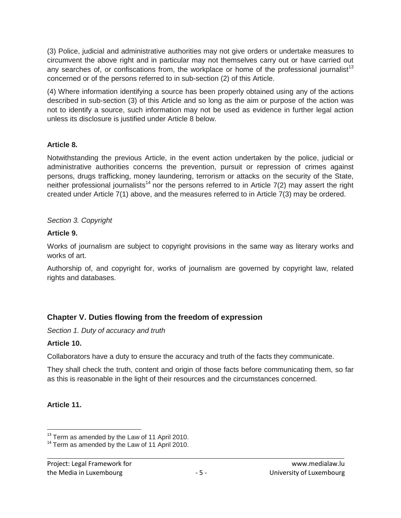(3) Police, judicial and administrative authorities may not give orders or undertake measures to circumvent the above right and in particular may not themselves carry out or have carried out any searches of, or confiscations from, the workplace or home of the professional journalist<sup>13</sup> concerned or of the persons referred to in sub-section (2) of this Article.

(4) Where information identifying a source has been properly obtained using any of the actions described in sub-section (3) of this Article and so long as the aim or purpose of the action was not to identify a source, such information may not be used as evidence in further legal action unless its disclosure is justified under Article 8 below.

#### **Article 8.**

Notwithstanding the previous Article, in the event action undertaken by the police, judicial or administrative authorities concerns the prevention, pursuit or repression of crimes against persons, drugs trafficking, money laundering, terrorism or attacks on the security of the State, neither professional journalists<sup>14</sup> nor the persons referred to in Article 7(2) may assert the right created under Article 7(1) above, and the measures referred to in Article 7(3) may be ordered.

#### *Section 3. Copyright*

#### **Article 9.**

Works of journalism are subject to copyright provisions in the same way as literary works and works of art.

Authorship of, and copyright for, works of journalism are governed by copyright law, related rights and databases.

## **Chapter V. Duties flowing from the freedom of expression**

*Section 1. Duty of accuracy and truth*

#### **Article 10.**

Collaborators have a duty to ensure the accuracy and truth of the facts they communicate.

They shall check the truth, content and origin of those facts before communicating them, so far as this is reasonable in the light of their resources and the circumstances concerned.

#### **Article 11.**

 $\overline{\phantom{a}}$ 

 $13$  Term as amended by the Law of 11 April 2010.

<sup>&</sup>lt;sup>14</sup> Term as amended by the Law of 11 April 2010.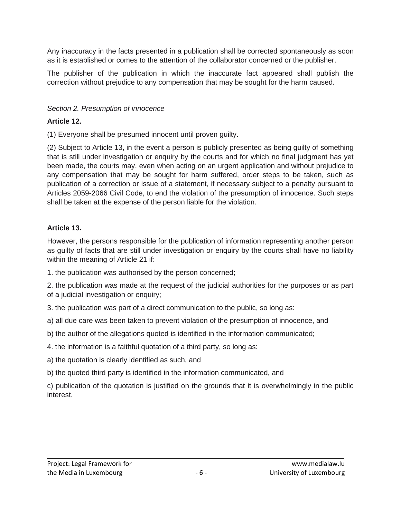Any inaccuracy in the facts presented in a publication shall be corrected spontaneously as soon as it is established or comes to the attention of the collaborator concerned or the publisher.

The publisher of the publication in which the inaccurate fact appeared shall publish the correction without prejudice to any compensation that may be sought for the harm caused.

#### *Section 2. Presumption of innocence*

### **Article 12.**

(1) Everyone shall be presumed innocent until proven guilty.

(2) Subject to Article 13, in the event a person is publicly presented as being guilty of something that is still under investigation or enquiry by the courts and for which no final judgment has yet been made, the courts may, even when acting on an urgent application and without prejudice to any compensation that may be sought for harm suffered, order steps to be taken, such as publication of a correction or issue of a statement, if necessary subject to a penalty pursuant to Articles 2059-2066 Civil Code, to end the violation of the presumption of innocence. Such steps shall be taken at the expense of the person liable for the violation.

## **Article 13.**

However, the persons responsible for the publication of information representing another person as guilty of facts that are still under investigation or enquiry by the courts shall have no liability within the meaning of Article 21 if:

1. the publication was authorised by the person concerned;

2. the publication was made at the request of the judicial authorities for the purposes or as part of a judicial investigation or enquiry;

3. the publication was part of a direct communication to the public, so long as:

a) all due care was been taken to prevent violation of the presumption of innocence, and

b) the author of the allegations quoted is identified in the information communicated;

4. the information is a faithful quotation of a third party, so long as:

a) the quotation is clearly identified as such, and

b) the quoted third party is identified in the information communicated, and

c) publication of the quotation is justified on the grounds that it is overwhelmingly in the public interest.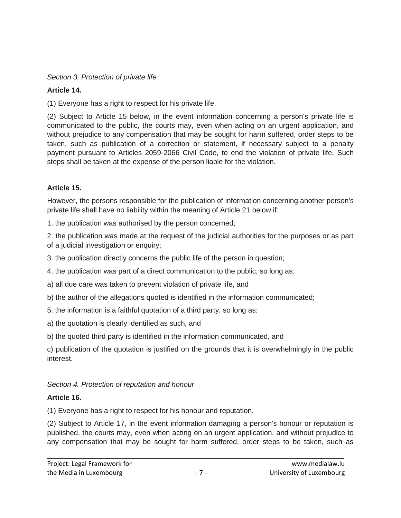### *Section 3. Protection of private life*

## **Article 14.**

(1) Everyone has a right to respect for his private life.

(2) Subject to Article 15 below, in the event information concerning a person's private life is communicated to the public, the courts may, even when acting on an urgent application, and without prejudice to any compensation that may be sought for harm suffered, order steps to be taken, such as publication of a correction or statement, if necessary subject to a penalty payment pursuant to Articles 2059-2066 Civil Code, to end the violation of private life. Such steps shall be taken at the expense of the person liable for the violation.

## **Article 15.**

However, the persons responsible for the publication of information concerning another person's private life shall have no liability within the meaning of Article 21 below if:

1. the publication was authorised by the person concerned;

2. the publication was made at the request of the judicial authorities for the purposes or as part of a judicial investigation or enquiry;

3. the publication directly concerns the public life of the person in question;

4. the publication was part of a direct communication to the public, so long as:

a) all due care was taken to prevent violation of private life, and

b) the author of the allegations quoted is identified in the information communicated;

5. the information is a faithful quotation of a third party, so long as:

a) the quotation is clearly identified as such, and

b) the quoted third party is identified in the information communicated, and

c) publication of the quotation is justified on the grounds that it is overwhelmingly in the public interest.

## *Section 4. Protection of reputation and honour*

## **Article 16.**

(1) Everyone has a right to respect for his honour and reputation.

(2) Subject to Article 17, in the event information damaging a person's honour or reputation is published, the courts may, even when acting on an urgent application, and without prejudice to any compensation that may be sought for harm suffered, order steps to be taken, such as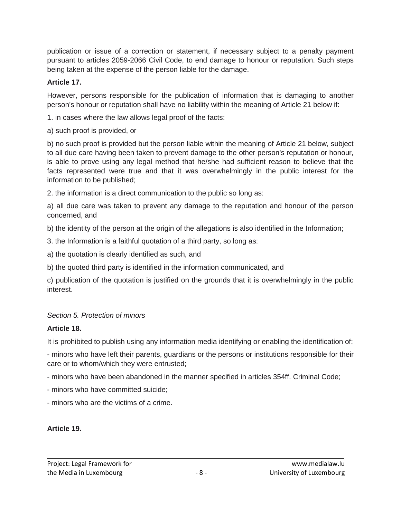publication or issue of a correction or statement, if necessary subject to a penalty payment pursuant to articles 2059-2066 Civil Code, to end damage to honour or reputation. Such steps being taken at the expense of the person liable for the damage.

### **Article 17.**

However, persons responsible for the publication of information that is damaging to another person's honour or reputation shall have no liability within the meaning of Article 21 below if:

1. in cases where the law allows legal proof of the facts:

a) such proof is provided, or

b) no such proof is provided but the person liable within the meaning of Article 21 below, subject to all due care having been taken to prevent damage to the other person's reputation or honour, is able to prove using any legal method that he/she had sufficient reason to believe that the facts represented were true and that it was overwhelmingly in the public interest for the information to be published;

2. the information is a direct communication to the public so long as:

a) all due care was taken to prevent any damage to the reputation and honour of the person concerned, and

b) the identity of the person at the origin of the allegations is also identified in the Information;

- 3. the Information is a faithful quotation of a third party, so long as:
- a) the quotation is clearly identified as such, and
- b) the quoted third party is identified in the information communicated, and

c) publication of the quotation is justified on the grounds that it is overwhelmingly in the public interest.

## *Section 5. Protection of minors*

## **Article 18.**

It is prohibited to publish using any information media identifying or enabling the identification of:

- minors who have left their parents, guardians or the persons or institutions responsible for their care or to whom/which they were entrusted;

- minors who have been abandoned in the manner specified in articles 354ff. Criminal Code;
- minors who have committed suicide;
- minors who are the victims of a crime.

## **Article 19.**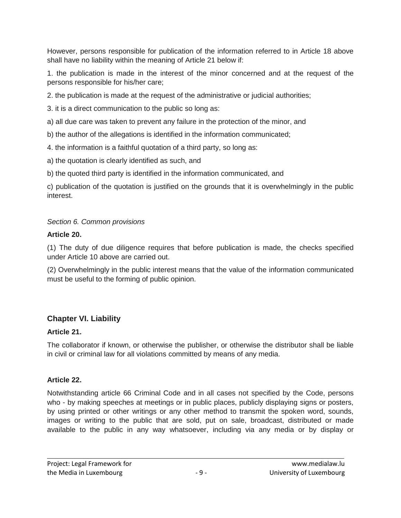However, persons responsible for publication of the information referred to in Article 18 above shall have no liability within the meaning of Article 21 below if:

1. the publication is made in the interest of the minor concerned and at the request of the persons responsible for his/her care;

2. the publication is made at the request of the administrative or judicial authorities;

3. it is a direct communication to the public so long as:

a) all due care was taken to prevent any failure in the protection of the minor, and

b) the author of the allegations is identified in the information communicated;

4. the information is a faithful quotation of a third party, so long as:

a) the quotation is clearly identified as such, and

b) the quoted third party is identified in the information communicated, and

c) publication of the quotation is justified on the grounds that it is overwhelmingly in the public interest.

## *Section 6. Common provisions*

## **Article 20.**

(1) The duty of due diligence requires that before publication is made, the checks specified under Article 10 above are carried out.

(2) Overwhelmingly in the public interest means that the value of the information communicated must be useful to the forming of public opinion.

## **Chapter VI. Liability**

## **Article 21.**

The collaborator if known, or otherwise the publisher, or otherwise the distributor shall be liable in civil or criminal law for all violations committed by means of any media.

## **Article 22.**

Notwithstanding article 66 Criminal Code and in all cases not specified by the Code, persons who - by making speeches at meetings or in public places, publicly displaying signs or posters, by using printed or other writings or any other method to transmit the spoken word, sounds, images or writing to the public that are sold, put on sale, broadcast, distributed or made available to the public in any way whatsoever, including via any media or by display or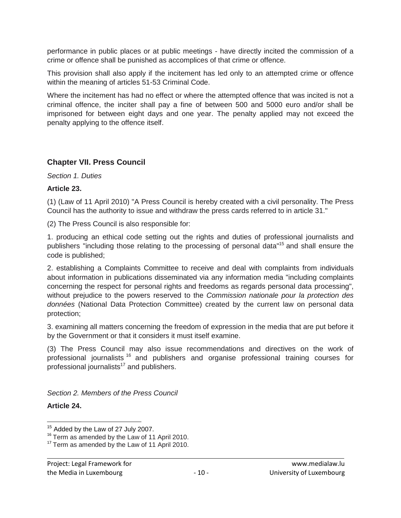performance in public places or at public meetings - have directly incited the commission of a crime or offence shall be punished as accomplices of that crime or offence.

This provision shall also apply if the incitement has led only to an attempted crime or offence within the meaning of articles 51-53 Criminal Code.

Where the incitement has had no effect or where the attempted offence that was incited is not a criminal offence, the inciter shall pay a fine of between 500 and 5000 euro and/or shall be imprisoned for between eight days and one year. The penalty applied may not exceed the penalty applying to the offence itself.

## **Chapter VII. Press Council**

#### *Section 1. Duties*

#### **Article 23.**

(1) (Law of 11 April 2010) "A Press Council is hereby created with a civil personality. The Press Council has the authority to issue and withdraw the press cards referred to in article 31."

(2) The Press Council is also responsible for:

1. producing an ethical code setting out the rights and duties of professional journalists and publishers "including those relating to the processing of personal data"<sup>15</sup> and shall ensure the code is published;

2. establishing a Complaints Committee to receive and deal with complaints from individuals about information in publications disseminated via any information media "including complaints concerning the respect for personal rights and freedoms as regards personal data processing", without prejudice to the powers reserved to the *Commission nationale pour la protection des données* (National Data Protection Committee) created by the current law on personal data protection;

3. examining all matters concerning the freedom of expression in the media that are put before it by the Government or that it considers it must itself examine.

(3) The Press Council may also issue recommendations and directives on the work of professional journalists <sup>16</sup> and publishers and organise professional training courses for professional journalists $17$  and publishers.

*Section 2. Members of the Press Council*

#### **Article 24.**

 $\overline{a}$  $15$  Added by the Law of 27 July 2007.

<sup>&</sup>lt;sup>16</sup> Term as amended by the Law of 11 April 2010.

<sup>&</sup>lt;sup>17</sup> Term as amended by the Law of 11 April 2010.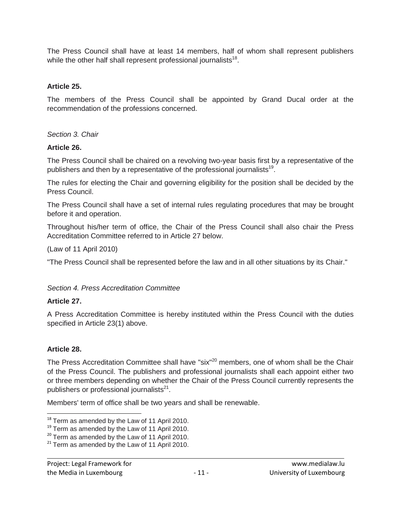The Press Council shall have at least 14 members, half of whom shall represent publishers while the other half shall represent professional journalists<sup>18</sup>.

#### **Article 25.**

The members of the Press Council shall be appointed by Grand Ducal order at the recommendation of the professions concerned.

*Section 3. Chair*

#### **Article 26.**

The Press Council shall be chaired on a revolving two-year basis first by a representative of the publishers and then by a representative of the professional journalists<sup>19</sup>.

The rules for electing the Chair and governing eligibility for the position shall be decided by the Press Council.

The Press Council shall have a set of internal rules regulating procedures that may be brought before it and operation.

Throughout his/her term of office, the Chair of the Press Council shall also chair the Press Accreditation Committee referred to in Article 27 below.

(Law of 11 April 2010)

"The Press Council shall be represented before the law and in all other situations by its Chair."

#### *Section 4. Press Accreditation Committee*

#### **Article 27.**

A Press Accreditation Committee is hereby instituted within the Press Council with the duties specified in Article 23(1) above.

#### **Article 28.**

 $\overline{\phantom{a}}$ 

The Press Accreditation Committee shall have "six"<sup>20</sup> members, one of whom shall be the Chair of the Press Council. The publishers and professional journalists shall each appoint either two or three members depending on whether the Chair of the Press Council currently represents the publishers or professional journalists<sup>21</sup>.

Members' term of office shall be two years and shall be renewable.

 $18$  Term as amended by the Law of 11 April 2010.

<sup>&</sup>lt;sup>19</sup> Term as amended by the Law of 11 April 2010.

 $20$  Term as amended by the Law of 11 April 2010.

 $21$  Term as amended by the Law of 11 April 2010.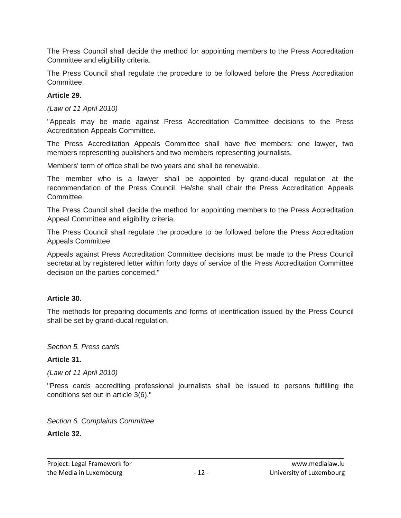The Press Council shall decide the method for appointing members to the Press Accreditation Committee and eligibility criteria.

The Press Council shall regulate the procedure to be followed before the Press Accreditation Committee.

#### **Article 29.**

*(Law of 11 April 2010)*

"Appeals may be made against Press Accreditation Committee decisions to the Press Accreditation Appeals Committee.

The Press Accreditation Appeals Committee shall have five members: one lawyer, two members representing publishers and two members representing journalists.

Members' term of office shall be two years and shall be renewable.

The member who is a lawyer shall be appointed by grand-ducal regulation at the recommendation of the Press Council. He/she shall chair the Press Accreditation Appeals Committee.

The Press Council shall decide the method for appointing members to the Press Accreditation Appeal Committee and eligibility criteria.

The Press Council shall regulate the procedure to be followed before the Press Accreditation Appeals Committee.

Appeals against Press Accreditation Committee decisions must be made to the Press Council secretariat by registered letter within forty days of service of the Press Accreditation Committee decision on the parties concerned."

#### **Article 30.**

The methods for preparing documents and forms of identification issued by the Press Council shall be set by grand-ducal regulation.

#### *Section 5. Press cards*

#### **Article 31.**

*(Law of 11 April 2010)*

"Press cards accrediting professional journalists shall be issued to persons fulfilling the conditions set out in article 3(6)."

*Section 6. Complaints Committee*

#### **Article 32.**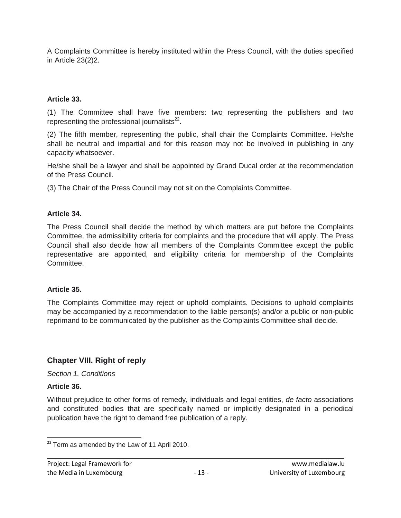A Complaints Committee is hereby instituted within the Press Council, with the duties specified in Article 23(2)2.

#### **Article 33.**

(1) The Committee shall have five members: two representing the publishers and two representing the professional journalists $^{22}$ .

(2) The fifth member, representing the public, shall chair the Complaints Committee. He/she shall be neutral and impartial and for this reason may not be involved in publishing in any capacity whatsoever.

He/she shall be a lawyer and shall be appointed by Grand Ducal order at the recommendation of the Press Council.

(3) The Chair of the Press Council may not sit on the Complaints Committee.

#### **Article 34.**

The Press Council shall decide the method by which matters are put before the Complaints Committee, the admissibility criteria for complaints and the procedure that will apply. The Press Council shall also decide how all members of the Complaints Committee except the public representative are appointed, and eligibility criteria for membership of the Complaints Committee.

#### **Article 35.**

The Complaints Committee may reject or uphold complaints. Decisions to uphold complaints may be accompanied by a recommendation to the liable person(s) and/or a public or non-public reprimand to be communicated by the publisher as the Complaints Committee shall decide.

## **Chapter VIII. Right of reply**

#### *Section 1. Conditions*

#### **Article 36.**

Without prejudice to other forms of remedy, individuals and legal entities, *de facto* associations and constituted bodies that are specifically named or implicitly designated in a periodical publication have the right to demand free publication of a reply.

l  $22$  Term as amended by the Law of 11 April 2010.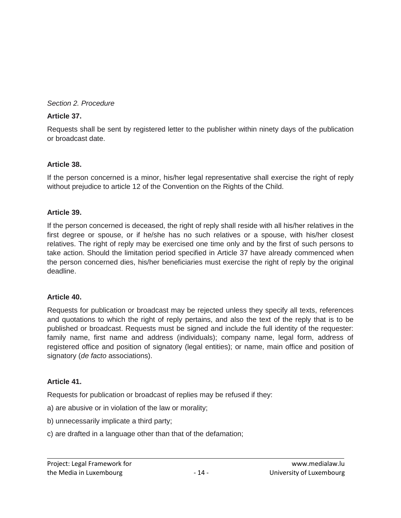#### *Section 2. Procedure*

#### **Article 37.**

Requests shall be sent by registered letter to the publisher within ninety days of the publication or broadcast date.

#### **Article 38.**

If the person concerned is a minor, his/her legal representative shall exercise the right of reply without prejudice to article 12 of the Convention on the Rights of the Child.

#### **Article 39.**

If the person concerned is deceased, the right of reply shall reside with all his/her relatives in the first degree or spouse, or if he/she has no such relatives or a spouse, with his/her closest relatives. The right of reply may be exercised one time only and by the first of such persons to take action. Should the limitation period specified in Article 37 have already commenced when the person concerned dies, his/her beneficiaries must exercise the right of reply by the original deadline.

#### **Article 40.**

Requests for publication or broadcast may be rejected unless they specify all texts, references and quotations to which the right of reply pertains, and also the text of the reply that is to be published or broadcast. Requests must be signed and include the full identity of the requester: family name, first name and address (individuals); company name, legal form, address of registered office and position of signatory (legal entities); or name, main office and position of signatory (*de facto* associations).

#### **Article 41.**

Requests for publication or broadcast of replies may be refused if they:

- a) are abusive or in violation of the law or morality;
- b) unnecessarily implicate a third party;
- c) are drafted in a language other than that of the defamation;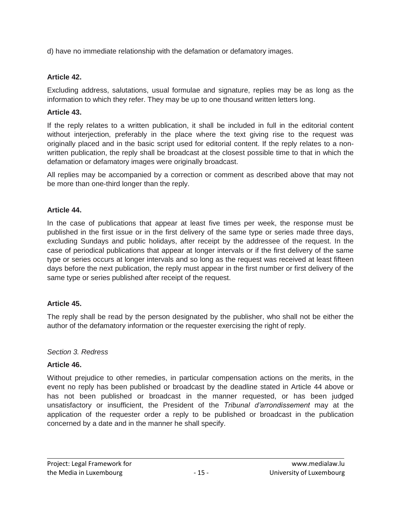d) have no immediate relationship with the defamation or defamatory images.

#### **Article 42.**

Excluding address, salutations, usual formulae and signature, replies may be as long as the information to which they refer. They may be up to one thousand written letters long.

#### **Article 43.**

If the reply relates to a written publication, it shall be included in full in the editorial content without interjection, preferably in the place where the text giving rise to the request was originally placed and in the basic script used for editorial content. If the reply relates to a nonwritten publication, the reply shall be broadcast at the closest possible time to that in which the defamation or defamatory images were originally broadcast.

All replies may be accompanied by a correction or comment as described above that may not be more than one-third longer than the reply.

#### **Article 44.**

In the case of publications that appear at least five times per week, the response must be published in the first issue or in the first delivery of the same type or series made three days, excluding Sundays and public holidays, after receipt by the addressee of the request. In the case of periodical publications that appear at longer intervals or if the first delivery of the same type or series occurs at longer intervals and so long as the request was received at least fifteen days before the next publication, the reply must appear in the first number or first delivery of the same type or series published after receipt of the request.

#### **Article 45.**

The reply shall be read by the person designated by the publisher, who shall not be either the author of the defamatory information or the requester exercising the right of reply.

#### *Section 3. Redress*

#### **Article 46.**

Without prejudice to other remedies, in particular compensation actions on the merits, in the event no reply has been published or broadcast by the deadline stated in Article 44 above or has not been published or broadcast in the manner requested, or has been judged unsatisfactory or insufficient, the President of the *Tribunal d'arrondissement* may at the application of the requester order a reply to be published or broadcast in the publication concerned by a date and in the manner he shall specify.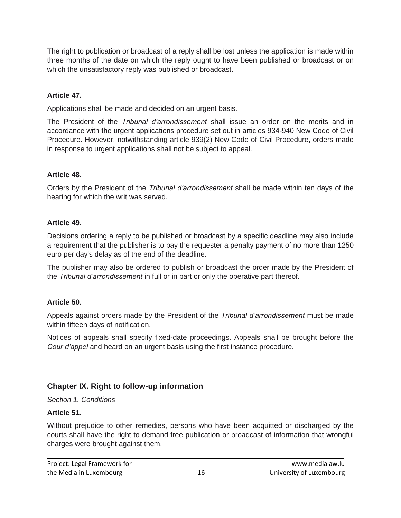The right to publication or broadcast of a reply shall be lost unless the application is made within three months of the date on which the reply ought to have been published or broadcast or on which the unsatisfactory reply was published or broadcast.

## **Article 47.**

Applications shall be made and decided on an urgent basis.

The President of the *Tribunal d'arrondissement* shall issue an order on the merits and in accordance with the urgent applications procedure set out in articles 934-940 New Code of Civil Procedure. However, notwithstanding article 939(2) New Code of Civil Procedure, orders made in response to urgent applications shall not be subject to appeal.

#### **Article 48.**

Orders by the President of the *Tribunal d'arrondissement* shall be made within ten days of the hearing for which the writ was served.

## **Article 49.**

Decisions ordering a reply to be published or broadcast by a specific deadline may also include a requirement that the publisher is to pay the requester a penalty payment of no more than 1250 euro per day's delay as of the end of the deadline.

The publisher may also be ordered to publish or broadcast the order made by the President of the *Tribunal d'arrondissement* in full or in part or only the operative part thereof.

## **Article 50.**

Appeals against orders made by the President of the *Tribunal d'arrondissement* must be made within fifteen days of notification.

Notices of appeals shall specify fixed-date proceedings. Appeals shall be brought before the *Cour d'appel* and heard on an urgent basis using the first instance procedure.

## **Chapter IX. Right to follow-up information**

#### *Section 1. Conditions*

#### **Article 51.**

Without prejudice to other remedies, persons who have been acquitted or discharged by the courts shall have the right to demand free publication or broadcast of information that wrongful charges were brought against them.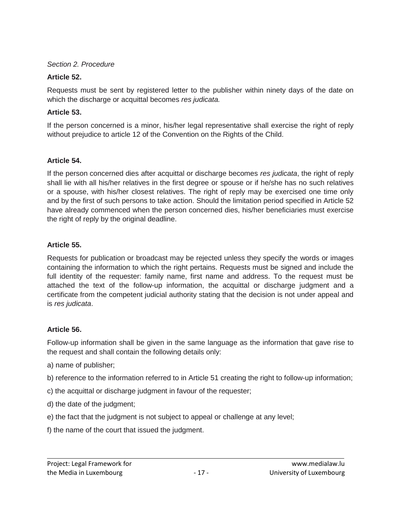#### *Section 2. Procedure*

### **Article 52.**

Requests must be sent by registered letter to the publisher within ninety days of the date on which the discharge or acquittal becomes *res judicata.*

### **Article 53.**

If the person concerned is a minor, his/her legal representative shall exercise the right of reply without prejudice to article 12 of the Convention on the Rights of the Child.

## **Article 54.**

If the person concerned dies after acquittal or discharge becomes *res judicata*, the right of reply shall lie with all his/her relatives in the first degree or spouse or if he/she has no such relatives or a spouse, with his/her closest relatives. The right of reply may be exercised one time only and by the first of such persons to take action. Should the limitation period specified in Article 52 have already commenced when the person concerned dies, his/her beneficiaries must exercise the right of reply by the original deadline.

## **Article 55.**

Requests for publication or broadcast may be rejected unless they specify the words or images containing the information to which the right pertains. Requests must be signed and include the full identity of the requester: family name, first name and address. To the request must be attached the text of the follow-up information, the acquittal or discharge judgment and a certificate from the competent judicial authority stating that the decision is not under appeal and is *res judicata*.

## **Article 56.**

Follow-up information shall be given in the same language as the information that gave rise to the request and shall contain the following details only:

- a) name of publisher;
- b) reference to the information referred to in Article 51 creating the right to follow-up information;
- c) the acquittal or discharge judgment in favour of the requester;
- d) the date of the judgment;
- e) the fact that the judgment is not subject to appeal or challenge at any level;
- f) the name of the court that issued the judgment.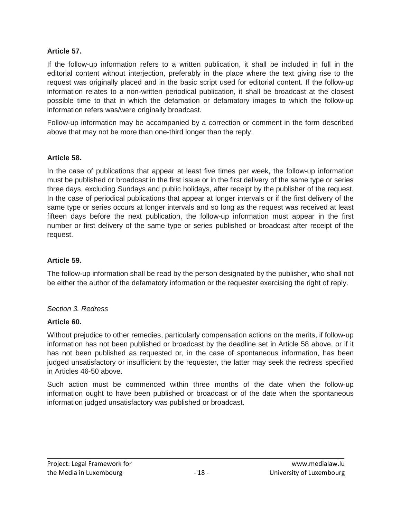#### **Article 57.**

If the follow-up information refers to a written publication, it shall be included in full in the editorial content without interjection, preferably in the place where the text giving rise to the request was originally placed and in the basic script used for editorial content. If the follow-up information relates to a non-written periodical publication, it shall be broadcast at the closest possible time to that in which the defamation or defamatory images to which the follow-up information refers was/were originally broadcast.

Follow-up information may be accompanied by a correction or comment in the form described above that may not be more than one-third longer than the reply.

#### **Article 58.**

In the case of publications that appear at least five times per week, the follow-up information must be published or broadcast in the first issue or in the first delivery of the same type or series three days, excluding Sundays and public holidays, after receipt by the publisher of the request. In the case of periodical publications that appear at longer intervals or if the first delivery of the same type or series occurs at longer intervals and so long as the request was received at least fifteen days before the next publication, the follow-up information must appear in the first number or first delivery of the same type or series published or broadcast after receipt of the request.

#### **Article 59.**

The follow-up information shall be read by the person designated by the publisher, who shall not be either the author of the defamatory information or the requester exercising the right of reply.

#### *Section 3. Redress*

#### **Article 60.**

Without prejudice to other remedies, particularly compensation actions on the merits, if follow-up information has not been published or broadcast by the deadline set in Article 58 above, or if it has not been published as requested or, in the case of spontaneous information, has been judged unsatisfactory or insufficient by the requester, the latter may seek the redress specified in Articles 46-50 above.

Such action must be commenced within three months of the date when the follow-up information ought to have been published or broadcast or of the date when the spontaneous information judged unsatisfactory was published or broadcast.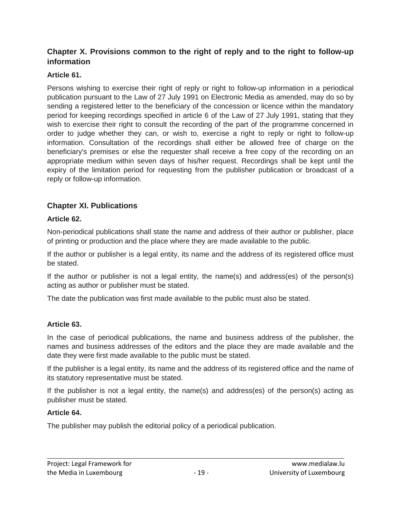## **Chapter X. Provisions common to the right of reply and to the right to follow-up information**

## **Article 61.**

Persons wishing to exercise their right of reply or right to follow-up information in a periodical publication pursuant to the Law of 27 July 1991 on Electronic Media as amended, may do so by sending a registered letter to the beneficiary of the concession or licence within the mandatory period for keeping recordings specified in article 6 of the Law of 27 July 1991, stating that they wish to exercise their right to consult the recording of the part of the programme concerned in order to judge whether they can, or wish to, exercise a right to reply or right to follow-up information. Consultation of the recordings shall either be allowed free of charge on the beneficiary's premises or else the requester shall receive a free copy of the recording on an appropriate medium within seven days of his/her request. Recordings shall be kept until the expiry of the limitation period for requesting from the publisher publication or broadcast of a reply or follow-up information.

## **Chapter XI. Publications**

## **Article 62.**

Non-periodical publications shall state the name and address of their author or publisher, place of printing or production and the place where they are made available to the public.

If the author or publisher is a legal entity, its name and the address of its registered office must be stated.

If the author or publisher is not a legal entity, the name(s) and address(es) of the person(s) acting as author or publisher must be stated.

The date the publication was first made available to the public must also be stated.

## **Article 63.**

In the case of periodical publications, the name and business address of the publisher, the names and business addresses of the editors and the place they are made available and the date they were first made available to the public must be stated.

If the publisher is a legal entity, its name and the address of its registered office and the name of its statutory representative must be stated.

If the publisher is not a legal entity, the name(s) and address(es) of the person(s) acting as publisher must be stated.

#### **Article 64.**

The publisher may publish the editorial policy of a periodical publication.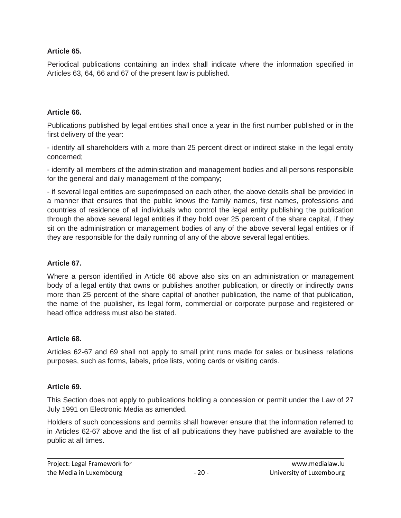#### **Article 65.**

Periodical publications containing an index shall indicate where the information specified in Articles 63, 64, 66 and 67 of the present law is published.

#### **Article 66.**

Publications published by legal entities shall once a year in the first number published or in the first delivery of the year:

- identify all shareholders with a more than 25 percent direct or indirect stake in the legal entity concerned;

- identify all members of the administration and management bodies and all persons responsible for the general and daily management of the company;

- if several legal entities are superimposed on each other, the above details shall be provided in a manner that ensures that the public knows the family names, first names, professions and countries of residence of all individuals who control the legal entity publishing the publication through the above several legal entities if they hold over 25 percent of the share capital, if they sit on the administration or management bodies of any of the above several legal entities or if they are responsible for the daily running of any of the above several legal entities.

#### **Article 67.**

Where a person identified in Article 66 above also sits on an administration or management body of a legal entity that owns or publishes another publication, or directly or indirectly owns more than 25 percent of the share capital of another publication, the name of that publication, the name of the publisher, its legal form, commercial or corporate purpose and registered or head office address must also be stated.

#### **Article 68.**

Articles 62-67 and 69 shall not apply to small print runs made for sales or business relations purposes, such as forms, labels, price lists, voting cards or visiting cards.

#### **Article 69.**

This Section does not apply to publications holding a concession or permit under the Law of 27 July 1991 on Electronic Media as amended.

Holders of such concessions and permits shall however ensure that the information referred to in Articles 62-67 above and the list of all publications they have published are available to the public at all times.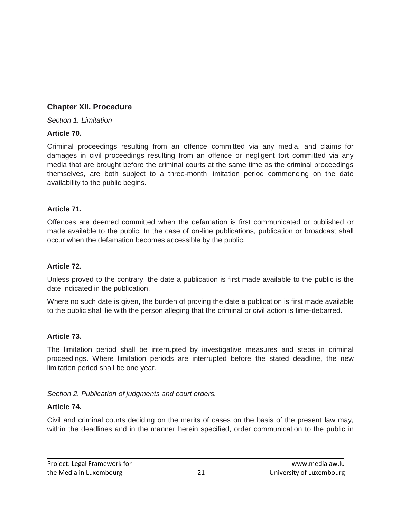## **Chapter XII. Procedure**

*Section 1. Limitation*

## **Article 70.**

Criminal proceedings resulting from an offence committed via any media, and claims for damages in civil proceedings resulting from an offence or negligent tort committed via any media that are brought before the criminal courts at the same time as the criminal proceedings themselves, are both subject to a three-month limitation period commencing on the date availability to the public begins.

## **Article 71.**

Offences are deemed committed when the defamation is first communicated or published or made available to the public. In the case of on-line publications, publication or broadcast shall occur when the defamation becomes accessible by the public.

## **Article 72.**

Unless proved to the contrary, the date a publication is first made available to the public is the date indicated in the publication.

Where no such date is given, the burden of proving the date a publication is first made available to the public shall lie with the person alleging that the criminal or civil action is time-debarred.

#### **Article 73.**

The limitation period shall be interrupted by investigative measures and steps in criminal proceedings. Where limitation periods are interrupted before the stated deadline, the new limitation period shall be one year.

*Section 2. Publication of judgments and court orders.*

## **Article 74.**

Civil and criminal courts deciding on the merits of cases on the basis of the present law may, within the deadlines and in the manner herein specified, order communication to the public in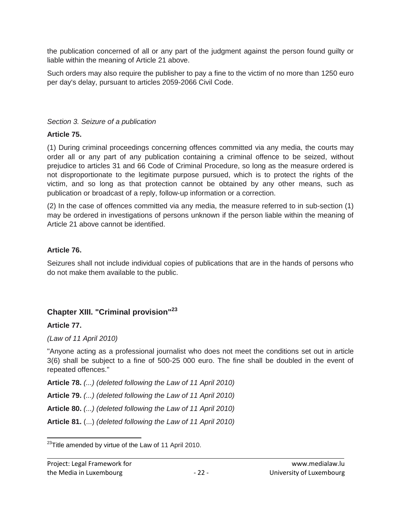the publication concerned of all or any part of the judgment against the person found guilty or liable within the meaning of Article 21 above.

Such orders may also require the publisher to pay a fine to the victim of no more than 1250 euro per day's delay, pursuant to articles 2059-2066 Civil Code.

#### *Section 3. Seizure of a publication*

#### **Article 75.**

(1) During criminal proceedings concerning offences committed via any media, the courts may order all or any part of any publication containing a criminal offence to be seized, without prejudice to articles 31 and 66 Code of Criminal Procedure, so long as the measure ordered is not disproportionate to the legitimate purpose pursued, which is to protect the rights of the victim, and so long as that protection cannot be obtained by any other means, such as publication or broadcast of a reply, follow-up information or a correction.

(2) In the case of offences committed via any media, the measure referred to in sub-section (1) may be ordered in investigations of persons unknown if the person liable within the meaning of Article 21 above cannot be identified.

#### **Article 76.**

Seizures shall not include individual copies of publications that are in the hands of persons who do not make them available to the public.

## **Chapter XIII. "Criminal provision" 23**

#### **Article 77.**

#### *(Law of 11 April 2010)*

"Anyone acting as a professional journalist who does not meet the conditions set out in article 3(6) shall be subject to a fine of 500-25 000 euro. The fine shall be doubled in the event of repeated offences."

**Article 78.** *(...) (deleted following the Law of 11 April 2010)*

**Article 79.** *(...) (deleted following the Law of 11 April 2010)*

**Article 80.** *(...) (deleted following the Law of 11 April 2010)*

**Article 81.** (...) *(deleted following the Law of 11 April 2010)*

 $\overline{\phantom{a}}$  $^{23}$ Title amended by virtue of the Law of 11 April 2010.